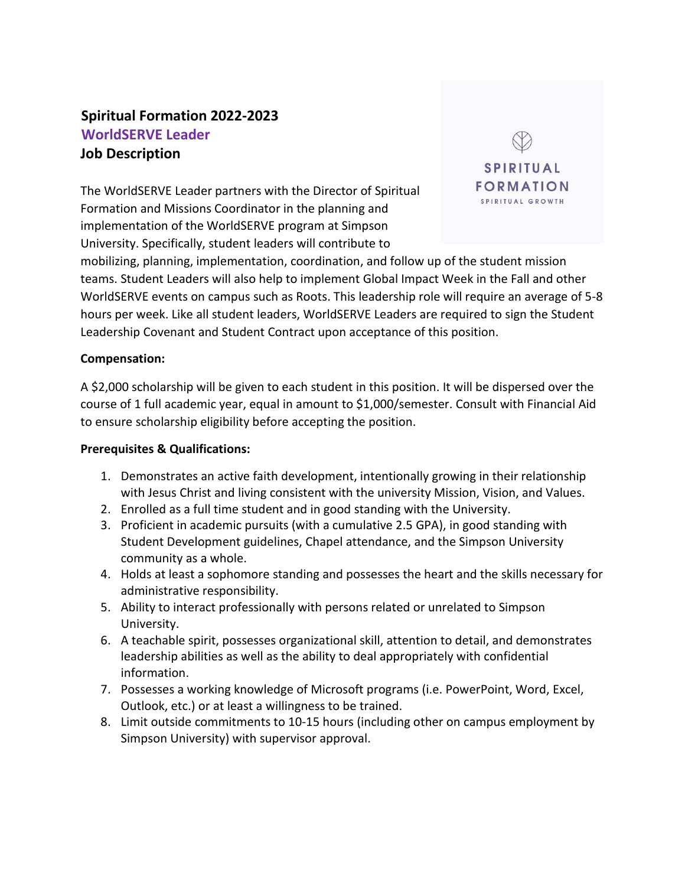# **Spiritual Formation 2022-2023 WorldSERVE Leader Job Description**

The WorldSERVE Leader partners with the Director of Spiritual Formation and Missions Coordinator in the planning and implementation of the WorldSERVE program at Simpson University. Specifically, student leaders will contribute to



mobilizing, planning, implementation, coordination, and follow up of the student mission teams. Student Leaders will also help to implement Global Impact Week in the Fall and other WorldSERVE events on campus such as Roots. This leadership role will require an average of 5-8 hours per week. Like all student leaders, WorldSERVE Leaders are required to sign the Student Leadership Covenant and Student Contract upon acceptance of this position.

#### **Compensation:**

A \$2,000 scholarship will be given to each student in this position. It will be dispersed over the course of 1 full academic year, equal in amount to \$1,000/semester. Consult with Financial Aid to ensure scholarship eligibility before accepting the position.

#### **Prerequisites & Qualifications:**

- 1. Demonstrates an active faith development, intentionally growing in their relationship with Jesus Christ and living consistent with the university Mission, Vision, and Values.
- 2. Enrolled as a full time student and in good standing with the University.
- 3. Proficient in academic pursuits (with a cumulative 2.5 GPA), in good standing with Student Development guidelines, Chapel attendance, and the Simpson University community as a whole.
- 4. Holds at least a sophomore standing and possesses the heart and the skills necessary for administrative responsibility.
- 5. Ability to interact professionally with persons related or unrelated to Simpson University.
- 6. A teachable spirit, possesses organizational skill, attention to detail, and demonstrates leadership abilities as well as the ability to deal appropriately with confidential information.
- 7. Possesses a working knowledge of Microsoft programs (i.e. PowerPoint, Word, Excel, Outlook, etc.) or at least a willingness to be trained.
- 8. Limit outside commitments to 10-15 hours (including other on campus employment by Simpson University) with supervisor approval.